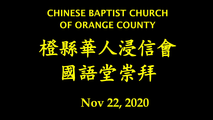### CHINESE BAPTIST CHURCH OF ORANGE COUNTY



**Nov 22, 2020**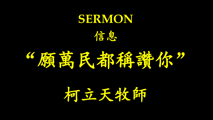## **SERMON** 信息

# "魔兽民都都都你"

柯立天牧師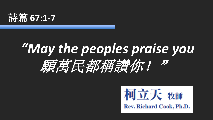

## *"May the peoples praise you* 願萬萬民都稱讀你!

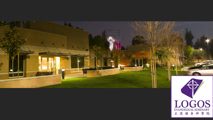

LOGOS<br>EVANGELICAL SEMINARY<br>正道福音神學院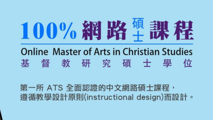# 100%網路#課程

#### **Online Master of Arts in Christian Studies** 督教研究碩士學 基 位

第一所 ATS 全面認證的中文網路碩士課程, 遵循教學設計原則(instructional design)而設計。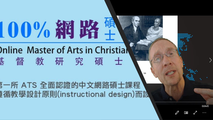# 100%網路集

### **Inline Master of Arts in Christial** 甚督教研究碩士

三所 ATS 全面認證的中文網路碩士課程 [循教學設計原則(instructional design)而設

 $0:04:45$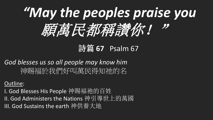

#### 詩篇 **67** Psalm 67

#### *God blesses us so all people may know him* 神賜福於我們好叫萬民得知祂的名

#### Outline:

I. God Blesses His People 神賜福祂的百姓 II. God Administers the Nations 神引導世上的萬國 III. God Sustains the earth 神供養大地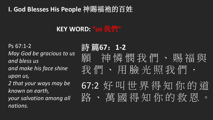#### **I. God Blesses His People** 神賜福祂的百姓

#### **KEY WORD: "us** 我們**"**

Ps 67:1-2 *May God be gracious to us and bless us and make his face shine upon us, 2 that your ways may be known on earth, your salvation among all nations.* 

詩 篇**67**:**1-2** 願 神憐問我們、賜福與 我們、用臉光照我們· 67:2 好叫世界得知你的道 路、萬國得知你的救恩。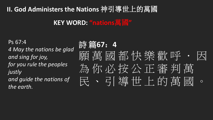#### **II. God Administers the Nations** 神引導世上的萬國

#### **KEY WORD: "nations**萬國**"**

Ps 67:4

*4 May the nations be glad and sing for joy, for you rule the peoples justly and guide the nations of the earth.* 

詩 篇**67**:**4** 願 萬 國 都 快 樂 歡 呼 為你必按公正審判萬 民、弓連世上的萬國。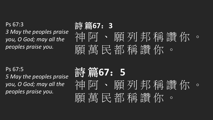Ps 67:3 *3 May the peoples praise you, O God; may all the peoples praise you.* 

Ps 67:5 *5 May the peoples praise you, O God; may all the peoples praise you.* 

## 詩 篇**67**:**3** 神 阿 、 願 列 邦 稱 讚 你 。 願 萬 民 都 稱 讚 你 。

詩 篇**67**:**5** 阿、願列邦稱讚你。 願 萬 民 都 稱 讚 你 。